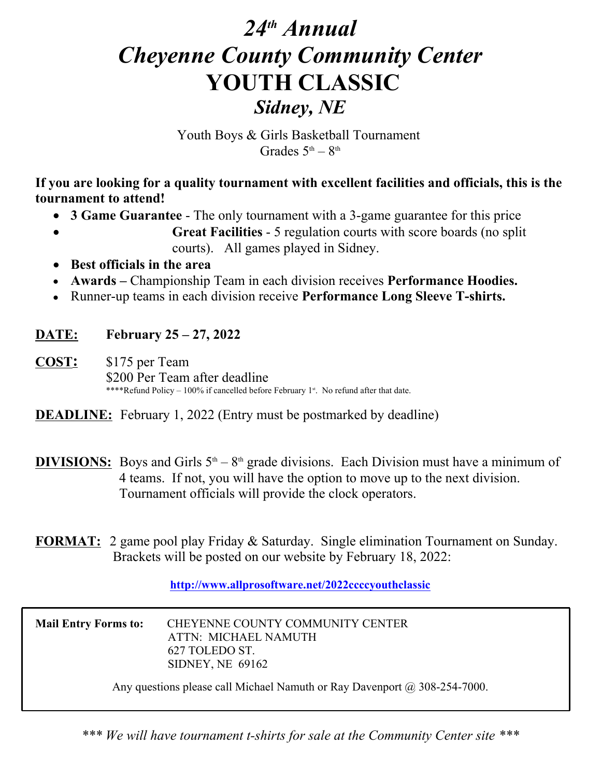# *24th Annual Cheyenne County Community Center*  **YOUTH CLASSIC** *Sidney, NE*

Youth Boys & Girls Basketball Tournament Grades  $5<sup>th</sup> - 8<sup>th</sup>$ 

**If you are looking for a quality tournament with excellent facilities and officials, this is the tournament to attend!**

- **3 Game Guarantee** The only tournament with a 3-game guarantee for this price
- **Great Facilities** 5 regulation courts with score boards (no split courts). All games played in Sidney.
- **Best officials in the area**
- **Awards** Championship Team in each division receives **Performance Hoodies.**
- Runner-up teams in each division receive **Performance Long Sleeve T-shirts.**

#### **DATE: February 25 – 27, 2022**

**COST:** \$175 per Team \$200 Per Team after deadline \*\*\*\*Refund Policy – 100% if cancelled before February 1<sup>st</sup>. No refund after that date.

**DEADLINE:** February 1, 2022 (Entry must be postmarked by deadline)

- **DIVISIONS:** Boys and Girls  $5<sup>th</sup> 8<sup>th</sup>$  grade divisions. Each Division must have a minimum of 4 teams. If not, you will have the option to move up to the next division. Tournament officials will provide the clock operators.
- **FORMAT:** 2 game pool play Friday & Saturday. Single elimination Tournament on Sunday. Brackets will be posted on our website by February 18, 2022:

**http://www.allprosoftware.net/2022ccccyouthclassic**

| <b>Mail Entry Forms to:</b> | CHEYENNE COUNTY COMMUNITY CENTER<br>ATTN: MICHAEL NAMUTH<br>627 TOLEDO ST.                    |
|-----------------------------|-----------------------------------------------------------------------------------------------|
|                             | SIDNEY, NE 69162<br>Any questions please call Michael Namuth or Ray Davenport @ 308-254-7000. |

*\*\*\* We will have tournament t-shirts for sale at the Community Center site \*\*\**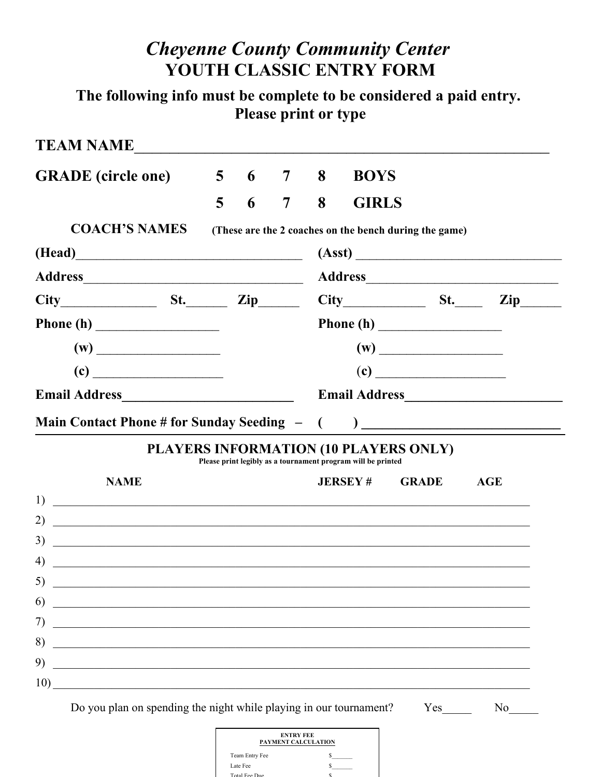## *Cheyenne County Community Center*  **YOUTH CLASSIC ENTRY FORM**

**The following info must be complete to be considered a paid entry. Please print or type**

| <b>TEAM NAME</b>                                                                                                                   |                |            |                |   |                                                              |                             |            |            |
|------------------------------------------------------------------------------------------------------------------------------------|----------------|------------|----------------|---|--------------------------------------------------------------|-----------------------------|------------|------------|
| <b>GRADE</b> (circle one)                                                                                                          |                | $5\quad 6$ | $\overline{7}$ | 8 | <b>BOYS</b>                                                  |                             |            |            |
|                                                                                                                                    | $\overline{5}$ | 6          | $\overline{7}$ | 8 | <b>GIRLS</b>                                                 |                             |            |            |
| <b>COACH'S NAMES</b>                                                                                                               |                |            |                |   | (These are the 2 coaches on the bench during the game)       |                             |            |            |
|                                                                                                                                    |                |            |                |   | (Asst)                                                       |                             |            |            |
|                                                                                                                                    |                |            |                |   |                                                              |                             |            |            |
| $City$ $St.$ $Zip$                                                                                                                 |                |            |                |   | $City$ St.                                                   |                             |            | <b>Zip</b> |
|                                                                                                                                    |                |            |                |   | Phone $(h)$                                                  |                             |            |            |
| (w)                                                                                                                                |                |            |                |   |                                                              | (w)                         |            |            |
| $\left( \mathbf{c} \right)$                                                                                                        |                |            |                |   |                                                              | $\left( \mathbf{c} \right)$ |            |            |
|                                                                                                                                    |                |            |                |   |                                                              |                             |            |            |
|                                                                                                                                    |                |            |                |   |                                                              |                             |            |            |
|                                                                                                                                    |                |            |                |   |                                                              |                             |            |            |
| PLAYERS INFORMATION (10 PLAYERS ONLY)                                                                                              |                |            |                |   | Please print legibly as a tournament program will be printed |                             |            |            |
| <b>NAME</b>                                                                                                                        |                |            |                |   | <b>JERSEY#</b>                                               | <b>GRADE</b>                | <b>AGE</b> |            |
| 1)<br><u> 1988 - Andrea Station Barbara, actor a component de la componentat de la componentat de la componentat de la</u>         |                |            |                |   |                                                              |                             |            |            |
| 2)<br><u> 1989 - Johann Stein, marwolaethau a bhann an chomhair an chomhair an chomhair an chomhair an chomhair an cho</u>         |                |            |                |   |                                                              |                             |            |            |
| 3)<br>4)                                                                                                                           |                |            |                |   |                                                              |                             |            |            |
| <u> 1989 - Jan Samuel Barbara, margaret eta idazlea (h. 1989).</u><br>5)<br><u> 1989 - Johann Amerikaanse kommunister († 1958)</u> |                |            |                |   |                                                              |                             |            |            |
| 6)                                                                                                                                 |                |            |                |   |                                                              |                             |            |            |
| 7)                                                                                                                                 |                |            |                |   |                                                              |                             |            |            |
| 8)<br><u> 1989 - Johann Stein, marwolaethau a bhann an t-Amhain an t-Amhain an t-Amhain an t-Amhain an t-Amhain an t-A</u>         |                |            |                |   |                                                              |                             |            |            |

| <b>ENTRY FEE</b><br>PAYMENT CALCULATION |  |
|-----------------------------------------|--|
| Team Entry Fee                          |  |
| Late Fee                                |  |
| Total Fee Due                           |  |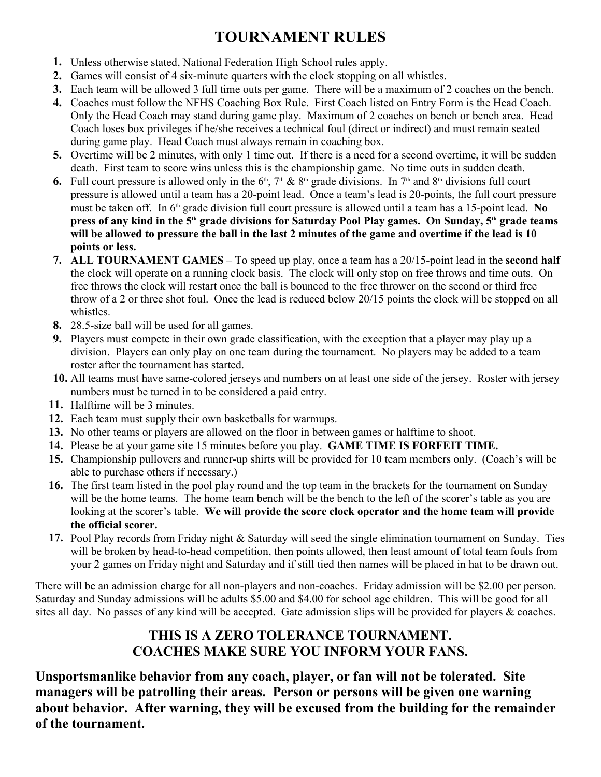## **TOURNAMENT RULES**

- **1.** Unless otherwise stated, National Federation High School rules apply.
- **2.** Games will consist of 4 six-minute quarters with the clock stopping on all whistles.
- **3.** Each team will be allowed 3 full time outs per game. There will be a maximum of 2 coaches on the bench.
- **4.** Coaches must follow the NFHS Coaching Box Rule. First Coach listed on Entry Form is the Head Coach. Only the Head Coach may stand during game play. Maximum of 2 coaches on bench or bench area. Head Coach loses box privileges if he/she receives a technical foul (direct or indirect) and must remain seated during game play. Head Coach must always remain in coaching box.
- **5.** Overtime will be 2 minutes, with only 1 time out. If there is a need for a second overtime, it will be sudden death. First team to score wins unless this is the championship game. No time outs in sudden death.
- **6.** Full court pressure is allowed only in the  $6<sup>th</sup>$ ,  $7<sup>th</sup>$  &  $8<sup>th</sup>$  grade divisions. In  $7<sup>th</sup>$  and  $8<sup>th</sup>$  divisions full court pressure is allowed until a team has a 20-point lead. Once a team's lead is 20-points, the full court pressure must be taken off. In 6<sup>th</sup> grade division full court pressure is allowed until a team has a 15-point lead. No **press of any kind in the 5th grade divisions for Saturday Pool Play games. On Sunday, 5th grade teams will be allowed to pressure the ball in the last 2 minutes of the game and overtime if the lead is 10 points or less.**
- **7. ALL TOURNAMENT GAMES**  To speed up play, once a team has a 20/15-point lead in the **second half** the clock will operate on a running clock basis. The clock will only stop on free throws and time outs. On free throws the clock will restart once the ball is bounced to the free thrower on the second or third free throw of a 2 or three shot foul. Once the lead is reduced below 20/15 points the clock will be stopped on all whistles.
- **8.** 28.5-size ball will be used for all games.
- **9.** Players must compete in their own grade classification, with the exception that a player may play up a division. Players can only play on one team during the tournament. No players may be added to a team roster after the tournament has started.
- **10.** All teams must have same-colored jerseys and numbers on at least one side of the jersey. Roster with jersey numbers must be turned in to be considered a paid entry.
- **11.** Halftime will be 3 minutes.
- **12.** Each team must supply their own basketballs for warmups.
- **13.** No other teams or players are allowed on the floor in between games or halftime to shoot.
- **14.** Please be at your game site 15 minutes before you play. **GAME TIME IS FORFEIT TIME.**
- **15.** Championship pullovers and runner-up shirts will be provided for 10 team members only. (Coach's will be able to purchase others if necessary.)
- **16.** The first team listed in the pool play round and the top team in the brackets for the tournament on Sunday will be the home teams. The home team bench will be the bench to the left of the scorer's table as you are looking at the scorer's table. **We will provide the score clock operator and the home team will provide the official scorer.**
- **17.** Pool Play records from Friday night & Saturday will seed the single elimination tournament on Sunday. Ties will be broken by head-to-head competition, then points allowed, then least amount of total team fouls from your 2 games on Friday night and Saturday and if still tied then names will be placed in hat to be drawn out.

There will be an admission charge for all non-players and non-coaches. Friday admission will be \$2.00 per person. Saturday and Sunday admissions will be adults \$5.00 and \$4.00 for school age children. This will be good for all sites all day. No passes of any kind will be accepted. Gate admission slips will be provided for players & coaches.

#### **THIS IS A ZERO TOLERANCE TOURNAMENT. COACHES MAKE SURE YOU INFORM YOUR FANS.**

**Unsportsmanlike behavior from any coach, player, or fan will not be tolerated. Site managers will be patrolling their areas. Person or persons will be given one warning about behavior. After warning, they will be excused from the building for the remainder of the tournament.**